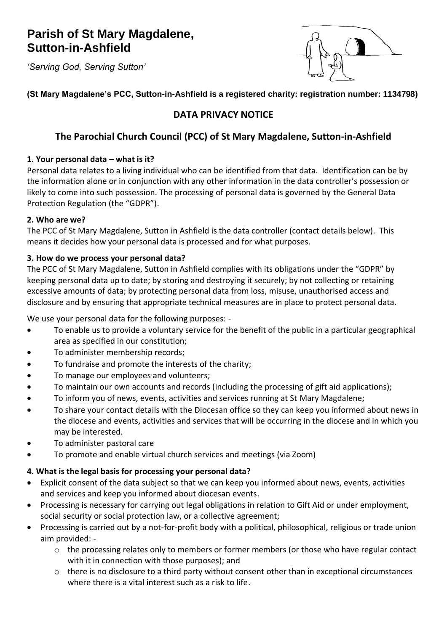# **Parish of St Mary Magdalene, Sutton-in-Ashfield**

*'Serving God, Serving Sutton'*



# **(St Mary Magdalene's PCC, Sutton-in-Ashfield is a registered charity: registration number: 1134798)**

# **DATA PRIVACY NOTICE**

# **The Parochial Church Council (PCC) of St Mary Magdalene, Sutton-in-Ashfield**

# **1. Your personal data – what is it?**

Personal data relates to a living individual who can be identified from that data. Identification can be by the information alone or in conjunction with any other information in the data controller's possession or likely to come into such possession. The processing of personal data is governed by the General Data Protection Regulation (the "GDPR").

# **2. Who are we?**

The PCC of St Mary Magdalene, Sutton in Ashfield is the data controller (contact details below). This means it decides how your personal data is processed and for what purposes.

# **3. How do we process your personal data?**

The PCC of St Mary Magdalene, Sutton in Ashfield complies with its obligations under the "GDPR" by keeping personal data up to date; by storing and destroying it securely; by not collecting or retaining excessive amounts of data; by protecting personal data from loss, misuse, unauthorised access and disclosure and by ensuring that appropriate technical measures are in place to protect personal data.

We use your personal data for the following purposes: -

- To enable us to provide a voluntary service for the benefit of the public in a particular geographical area as specified in our constitution;
- To administer membership records;
- To fundraise and promote the interests of the charity;
- To manage our employees and volunteers;
- To maintain our own accounts and records (including the processing of gift aid applications);
- To inform you of news, events, activities and services running at St Mary Magdalene;
- To share your contact details with the Diocesan office so they can keep you informed about news in the diocese and events, activities and services that will be occurring in the diocese and in which you may be interested.
- To administer pastoral care
- To promote and enable virtual church services and meetings (via Zoom)

# **4. What is the legal basis for processing your personal data?**

- Explicit consent of the data subject so that we can keep you informed about news, events, activities and services and keep you informed about diocesan events.
- Processing is necessary for carrying out legal obligations in relation to Gift Aid or under employment, social security or social protection law, or a collective agreement;
- Processing is carried out by a not-for-profit body with a political, philosophical, religious or trade union aim provided:
	- o the processing relates only to members or former members (or those who have regular contact with it in connection with those purposes); and
	- o there is no disclosure to a third party without consent other than in exceptional circumstances where there is a vital interest such as a risk to life.